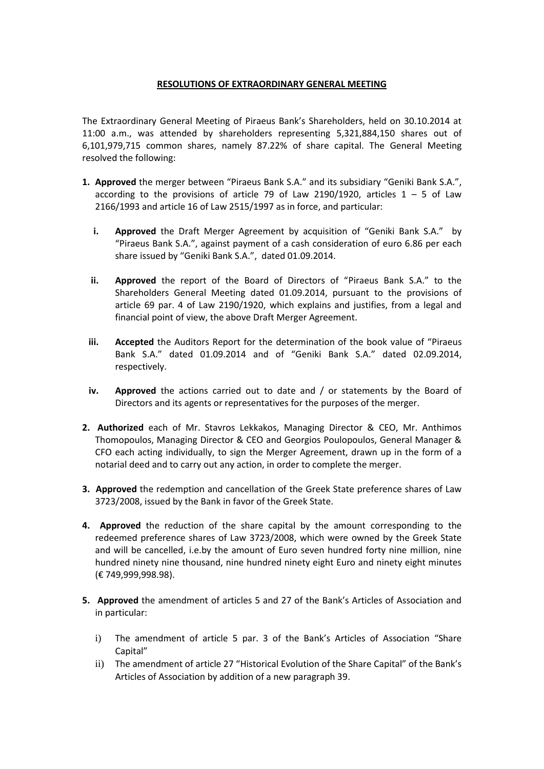## **RESOLUTIONS OF EXTRAORDINARY GENERAL MEETING**

The Extraordinary General Meeting of Piraeus Bank's Shareholders, held on 30.10.2014 at 11:00 a.m., was attended by shareholders representing 5,321,884,150 shares out of 6,101,979,715 common shares, namely 87.22% of share capital. The General Meeting resolved the following:

- **1. Approved** the merger between "Piraeus Bank S.A." and its subsidiary "Geniki Bank S.A.", according to the provisions of article 79 of Law 2190/1920, articles  $1 - 5$  of Law 2166/1993 and article 16 of Law 2515/1997 as in force, and particular:
	- **i. Approved** the Draft Merger Agreement by acquisition of "Geniki Bank S.A." by "Piraeus Bank S.A.", against payment of a cash consideration of euro 6.86 per each share issued by "Geniki Bank S.A.", dated 01.09.2014.
	- **ii. Approved** the report of the Board of Directors of "Piraeus Bank S.A." to the Shareholders General Meeting dated 01.09.2014, pursuant to the provisions of article 69 par. 4 of Law 2190/1920, which explains and justifies, from a legal and financial point of view, the above Draft Merger Agreement.
	- **iii.** Accepted the Auditors Report for the determination of the book value of "Piraeus Bank S.A." dated 01.09.2014 and of "Geniki Bank S.A." dated 02.09.2014, respectively.
	- **iv. Approved** the actions carried out to date and / or statements by the Board of Directors and its agents or representatives for the purposes of the merger.
- **2. Authorized** each of Mr. Stavros Lekkakos, Managing Director & CEO, Mr. Anthimos Thomopoulos, Managing Director & CEO and Georgios Poulopoulos, General Manager & CFO each acting individually, to sign the Merger Agreement, drawn up in the form of a notarial deed and to carry out any action, in order to complete the merger.
- **3. Approved** the redemption and cancellation of the Greek State preference shares of Law 3723/2008, issued by the Bank in favor of the Greek State.
- **4. Approved** the reduction of the share capital by the amount corresponding to the redeemed preference shares of Law 3723/2008, which were owned by the Greek State and will be cancelled, i.e.by the amount of Euro seven hundred forty nine million, nine hundred ninety nine thousand, nine hundred ninety eight Euro and ninety eight minutes (€ 749,999,998.98).
- **5. Approved** the amendment of articles 5 and 27 of the Bank's Articles of Association and in particular:
	- i) The amendment of article 5 par. 3 of the Bank's Articles of Association "Share Capital"
	- ii) The amendment of article 27 "Historical Evolution of the Share Capital" of the Bank's Articles of Association by addition of a new paragraph 39.